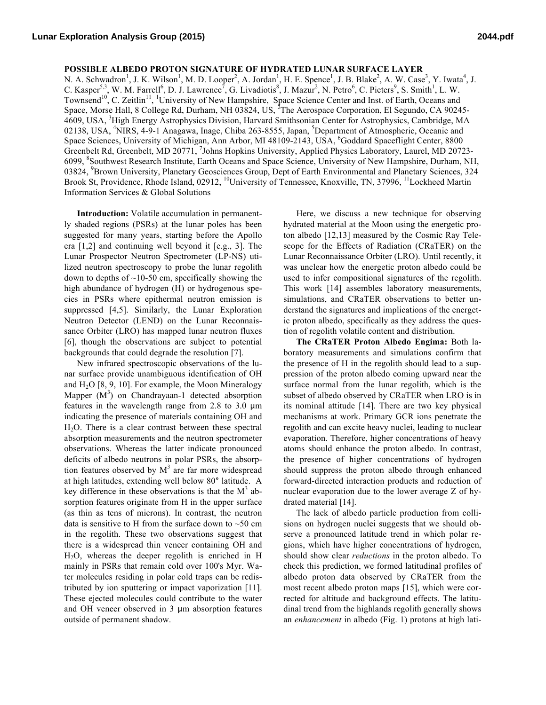**POSSIBLE ALBEDO PROTON SIGNATURE OF HYDRATED LUNAR SURFACE LAYER**

N. A. Schwadron<sup>1</sup>, J. K. Wilson<sup>1</sup>, M. D. Looper<sup>2</sup>, A. Jordan<sup>1</sup>, H. E. Spence<sup>1</sup>, J. B. Blake<sup>2</sup>, A. W. Case<sup>3</sup>, Y. Iwata<sup>4</sup>, J. C. Kasper<sup>5,3</sup>, W. M. Farrell<sup>6</sup>, D. J. Lawrence<sup>7</sup>, G. Livadiotis<sup>8</sup>, J. Mazur<sup>2</sup>, N. Petro<sup>6</sup>, C. Pieters<sup>9</sup>, S. Smith<sup>1</sup>, L. W. Townsend<sup>10</sup>, C. Zeitlin<sup>11</sup>, <sup>1</sup>University of New Hampshire, Space Science Center and Inst. of Earth, Oceans and Space, Morse Hall, 8 College Rd, Durham, NH 03824, US, <sup>2</sup>The Aerospace Corporation, El Segundo, CA 90245-4609, USA, <sup>3</sup>High Energy Astrophysics Division, Harvard Smithsonian Center for Astrophysics, Cambridge, MA 02138, USA, <sup>4</sup>NIRS, 4-9-1 Anagawa, Inage, Chiba 263-8555, Japan, <sup>5</sup>Department of Atmospheric, Oceanic and Space Sciences, University of Michigan, Ann Arbor, MI 48109-2143, USA, <sup>6</sup>Goddard Spaceflight Center, 8800 Greenbelt Rd, Greenbelt, MD 20771, <sup>7</sup>Johns Hopkins University, Applied Physics Laboratory, Laurel, MD 20723-6099, <sup>8</sup>Southwest Research Institute, Earth Oceans and Space Science, University of New Hampshire, Durham, NH, 03824, <sup>9</sup> Brown University, Planetary Geosciences Group, Dept of Earth Environmental and Planetary Sciences, 324 Brook St, Providence, Rhode Island, 02912, <sup>10</sup>University of Tennessee, Knoxville, TN, 37996, <sup>11</sup>Lockheed Martin Information Services & Global Solutions

**Introduction:** Volatile accumulation in permanently shaded regions (PSRs) at the lunar poles has been suggested for many years, starting before the Apollo era [1,2] and continuing well beyond it [e.g., 3]. The Lunar Prospector Neutron Spectrometer (LP-NS) utilized neutron spectroscopy to probe the lunar regolith down to depths of  $\sim$ 10-50 cm, specifically showing the high abundance of hydrogen (H) or hydrogenous species in PSRs where epithermal neutron emission is suppressed [4,5]. Similarly, the Lunar Exploration Neutron Detector (LEND) on the Lunar Reconnaissance Orbiter (LRO) has mapped lunar neutron fluxes [6], though the observations are subject to potential backgrounds that could degrade the resolution [7].

New infrared spectroscopic observations of the lunar surface provide unambiguous identification of OH and  $H_2O$  [8, 9, 10]. For example, the Moon Mineralogy Mapper  $(M^3)$  on Chandrayaan-1 detected absorption features in the wavelength range from 2.8 to 3.0 μm indicating the presence of materials containing OH and H2O. There is a clear contrast between these spectral absorption measurements and the neutron spectrometer observations. Whereas the latter indicate pronounced deficits of albedo neutrons in polar PSRs, the absorption features observed by  $M<sup>3</sup>$  are far more widespread at high latitudes, extending well below 80**°** latitude. A key difference in these observations is that the  $M<sup>3</sup>$  absorption features originate from H in the upper surface (as thin as tens of microns). In contrast, the neutron data is sensitive to H from the surface down to  $~50$  cm in the regolith. These two observations suggest that there is a widespread thin veneer containing OH and H2O, whereas the deeper regolith is enriched in H mainly in PSRs that remain cold over 100's Myr. Water molecules residing in polar cold traps can be redistributed by ion sputtering or impact vaporization [11]. These ejected molecules could contribute to the water and OH veneer observed in 3 μm absorption features outside of permanent shadow.

Here, we discuss a new technique for observing hydrated material at the Moon using the energetic proton albedo [12,13] measured by the Cosmic Ray Telescope for the Effects of Radiation (CRaTER) on the Lunar Reconnaissance Orbiter (LRO). Until recently, it was unclear how the energetic proton albedo could be used to infer compositional signatures of the regolith. This work [14] assembles laboratory measurements, simulations, and CRaTER observations to better understand the signatures and implications of the energetic proton albedo, specifically as they address the question of regolith volatile content and distribution.

**The CRaTER Proton Albedo Engima:** Both laboratory measurements and simulations confirm that the presence of H in the regolith should lead to a suppression of the proton albedo coming upward near the surface normal from the lunar regolith, which is the subset of albedo observed by CRaTER when LRO is in its nominal attitude [14]. There are two key physical mechanisms at work. Primary GCR ions penetrate the regolith and can excite heavy nuclei, leading to nuclear evaporation. Therefore, higher concentrations of heavy atoms should enhance the proton albedo. In contrast, the presence of higher concentrations of hydrogen should suppress the proton albedo through enhanced forward-directed interaction products and reduction of nuclear evaporation due to the lower average Z of hydrated material [14].

The lack of albedo particle production from collisions on hydrogen nuclei suggests that we should observe a pronounced latitude trend in which polar regions, which have higher concentrations of hydrogen, should show clear *reductions* in the proton albedo. To check this prediction, we formed latitudinal profiles of albedo proton data observed by CRaTER from the most recent albedo proton maps [15], which were corrected for altitude and background effects. The latitudinal trend from the highlands regolith generally shows an *enhancement* in albedo (Fig. 1) protons at high lati